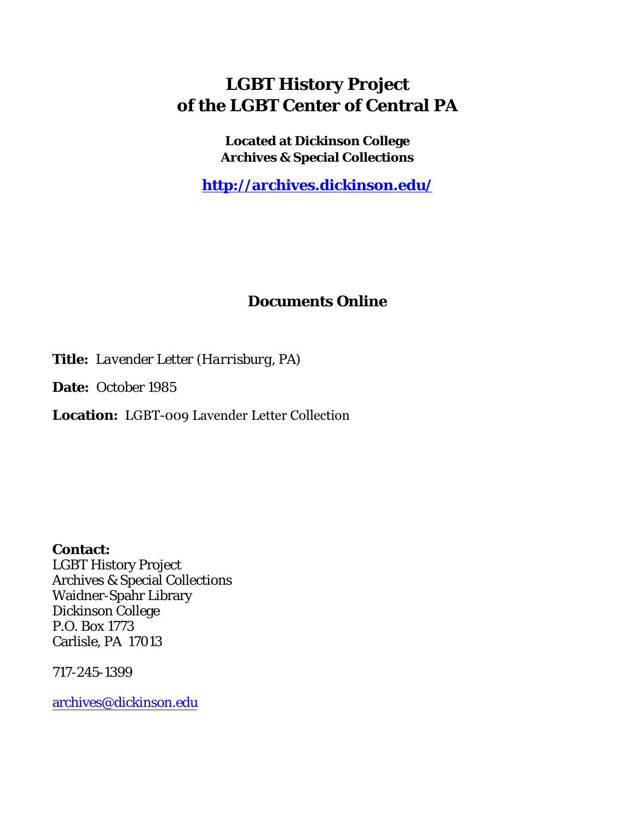## **LGBT History Project of the LGBT Center of Central PA**

**Located at Dickinson College Archives & Special Collections**

**<http://archives.dickinson.edu/>**

## **Documents Online**

**Title:** *Lavender Letter (Harrisburg, PA)*

**Date:** October 1985

**Location:** LGBT-009 Lavender Letter Collection

**Contact:**  LGBT History Project Archives & Special Collections Waidner-Spahr Library Dickinson College P.O. Box 1773 Carlisle, PA 17013

717-245-1399

[archives@dickinson.edu](mailto:archives@dickinson.edu)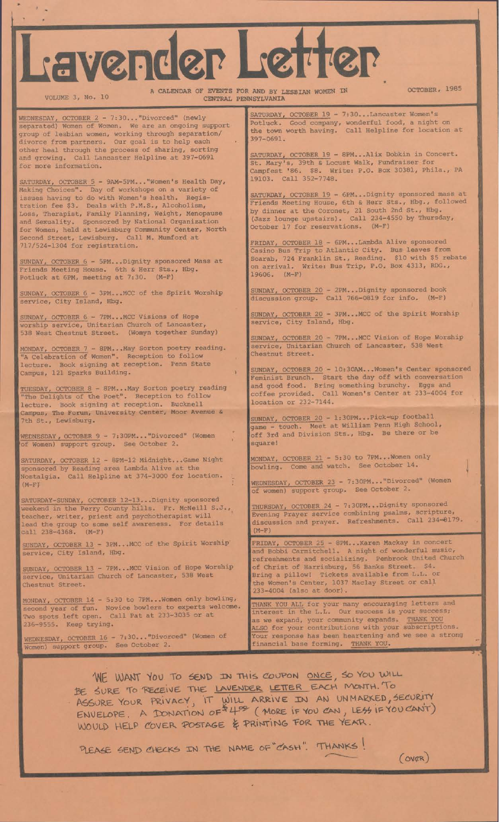## Lavender Letter

VOLUME 3, No. 10

A CALENDAR OF EVENTS FOR AND BY LESBIAN WOMEN IN CENTRAL PENNSYLVANIA

OCTOBER, 1985

WEDNESDAY, OCTOBER 2 - 7:30..."Divorced" (newly separated) Women of Women. We are an ongoing support group of lesbian women, working through separation/ divorce from partners. Our goal is to help each other heal through the process of sharing, sorting and growing. Call Lancaster Helpline at 397-0691 for more information.

SATURDAY, OCTOBER 5 - 9AM-5PM..."Women's Health Day, Day of workshops on a variety of do with Women's health. Registration fee \$3. Deals with P.M.S., Alcoholism, Loss, Therapist, Family Planning, Weight, Menopause and Sexuality. Sponsored by National Organization for Women, held at Lewisburg Community Center, North Making Choices". issues having to Second Street, Lewisburg. Call M. Mumford at 717/524-1304 for registration.

SUNDAY, OCTOBER 6 - 5PM...Dignity sponsored Mass at House. 6th & Herr Sts., Hbg. meeting at 7:30. (M-F) Friends Potluck Meeting at 6PM,

service, City Island, Hbg.

SUNDAY, OCTOBER 6 - 7PM...MCC Visions of Hope worship service, Unitarian Church of Lancaster, 538 West Chestnut Street. (Womyn together Sunday)

MONDAY, OCTOBER 7 - 8PM...May Sorton poetry reading. "A Celebration of Women". Reception to follow lecture. Book signing at reception. Penn State Campus, 121 Sparks Building.

TUESDAY, OCTOBER 8 - 8PM\_\_ May Sorton poetry reading "The Delights of the Poet". Reception to follow lecture. Book signing at reception. Bucknell Campus, The Forum, University Center, Moor Avenue & 7th St., Lewisburg.

WEDNESDAY , OCTOBER 9 - 7:30PM\_\_ "Divorced" (Women 'of Women) support group. See October 2.

SATURDAY, OCTOBER 12 - 8PM-12 Midnight...Game Night sponsored by Reading area Lambda Alive at the Nostalgia. Call Helpline at 374-3000 for location.  $(M-F)$ 

*• r* SATURDAY-SUNDAY, OCTOBER 12-13...Dignity sponsored weekend in the Perry County hills. Fr. McNeill S.J teacher, writer, priest and psychotherapist will lead the group to some self awareness. For details call 238-4368. (M-F)

SUNDAY, OCTOBER 13 - 3PM\_\_ MCC of the Spirit Worship' service, City Island, Hbg.

SUNDAY, OCTOBER 13 - 7PM\_\_ MCC Vision of Hope Worship service, Unitarian Church of Lancaster, 538 West Chestnut Street.

5:30 to 7PM\_\_ Women only bowling, Novice bowlers to experts welcome. Call Pat at 233-3035 or at MONDAY, OCTOBER 14 second year of fun. Two spots left open. 236-9555. Keep trying.

WEDNESDAY, OCTOBER 16 - 7:30..."Divorced" (Women of Women) support group. See October 2.

SATURDAY, OCTOBER 19 - 7:30...Lancaster Women's Potluck. Good company, wonderful food, a night on the town worth having. Call Helpline for location at 397-0691.

SATURDAY, OCTOBER 19 - 8PM...Alix Dobkin in Concert. St. Mary's, 39th & Locust Walk, Fundraiser for Campfest '86. \$8. Write: P.O. Box 30381, Phila., PA 19103. Call 352-7748.

SATURDAY, OCTOBER 19 - 6PM...Dignity sponsored mass at Friends Meeting House, 6th & Herr Sts., Hbg., followed by dinner at the Coronet, 21 South 2nd St., Hbg. (Jazz lounge upstairs). Call 234-4550 by Thursday, October 17 for reservations. (M-F)

FRIDAY, OCTOBER 18 - 6PM...Lambda Alive sponsored Bus- leaves from \$10 with Box 4313, Casino Bus Trip to Atlantic City. Scarab, 724 Franklin St., Reading, on arrival. Write: Bus Trip, P.O. 19606. (M-F) \$5 rebate RDG.,

SUNDAY, OCTOBER 6 - 3PM...MCC of the Spirit Worship SUNDAY, OCTOBER 20 - 2PM...Dignity sponsored Call 766-0819 for info. SUNDAY, OCTOBER 20 - 2PM...Dignity discussion group book  $(M-F)$ 

> SUNDAY, OCTOBER 20 - 3PM...MCC of the Spirit Worship service, City Island, Hbg.

SUNDAY, OCTOBER 20 - 7PM...MCC Vision of Hope Worship service, Unitarian Church of Lancaster, 538 West Chestnut Street.

SUNDAY, OCTOBER 20 - 10:30AM...Women's Center sponsored Feminist Brunch. Start the day off with conversation and good food. Bring something brunchy. Eggs and coffee provided. Call Women's Center at 233-4004 for location or 232-7144.

SUNDAY, OCTOBER 20 - 1:30PM...Pick-up football game - touch. Meet at William Penn High School, off 3rd and Division Sts., Hbg. Be there or be square!

MONDAY, OCTOBER 21 - 5:30 bowling. Come and watch. to 7PM...Women only See October 14.

WEDNESDAY, OCTOBER 23 - 7:30PM..."Divorced" (Women of women) support group. See October 2.

THURSDAY, OCTOBER 24 - 7:30PM...Dignity sponsored Evening Prayer service combining psalms, scripture, discussion and prayer. Refreshments. Call 234-8179.  $(M-F)$ 

FRIDAY, OCTOBER 25 - 8PM...Karen Mackay in concert and Bobbi Carmitchell. A night of wonderful music, refreshments and socializing. Penbrook United Church of Christ of Harrisburg, 56 Banks Street. \$4. Bring a pillow! Tickets available from L.L. or the Women's Center, 1037 Maclay Street or call 233-4004 (also at door).

THANK YOU ALL for your many encouraging letters and interest in the L.L. Our success is your success; as we expand, your community expands. THANK YOU ALSO for your contributions with your subscriptions. Your response has been heartening and we see a strong financial base forming. THANK YOU.

WE WANT YOU TO SEND IN THIS COUPON ONCE, SO YOU WILL BE SURE TO RECEIVE THE LAVENDER LETTER EACH MONTH. To ASSURE YOUR PRIVACY, IT WILL ARRIVE IN AN UNMARKED, SECURITY  $ENVELOPE.$  A DONATION  $OF^{\frac{1}{2}}H^{\infty}$  (MORE IF YOU CAN, LESS IF YOU CANT) WOULD HELP COVER POSTAGE & PRINTING FOR THE YEAR.

PLEASE SEND CHECKS IN THE NAME OF CASH". THANKS!

 $(ovap)$